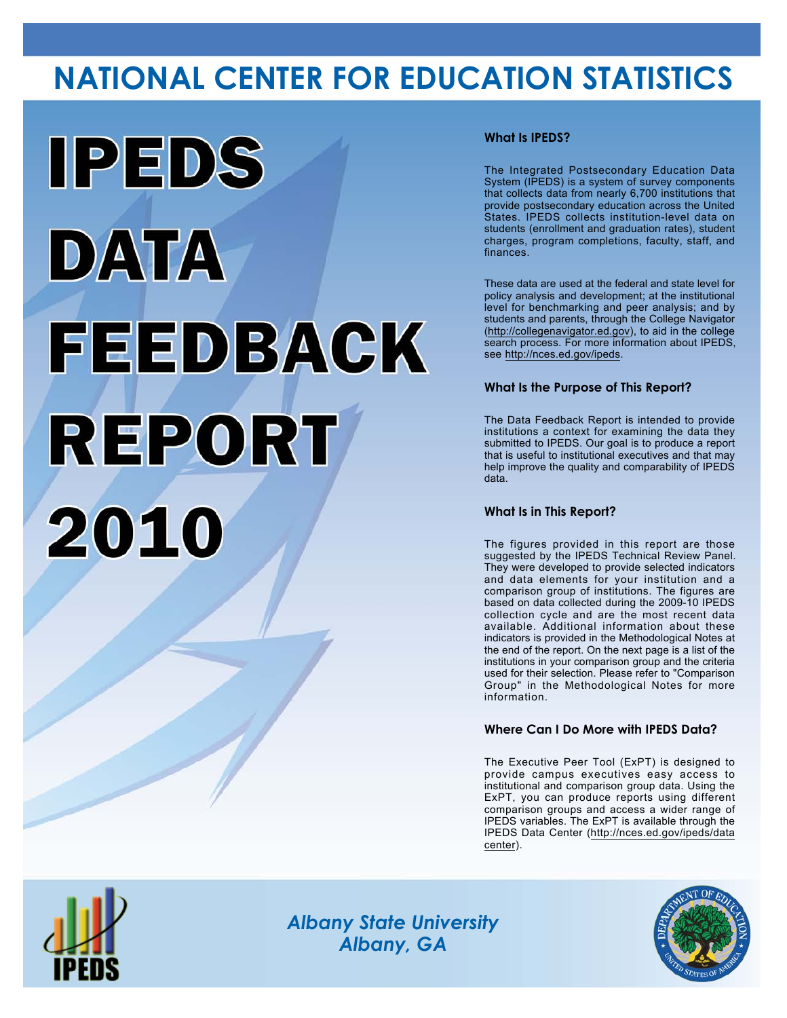# **NATIONAL CENTER FOR EDUCATION STATISTICS**



# **What Is IPEDS?**

The Integrated Postsecondary Education Data System (IPEDS) is a system of survey components that collects data from nearly 6,700 institutions that provide postsecondary education across the United States. IPEDS collects institution-level data on students (enrollment and graduation rates), student charges, program completions, faculty, staff, and finances.

These data are used at the federal and state level for policy analysis and development; at the institutional level for benchmarking and peer analysis; and by students and parents, through the College Navigator (<http://collegenavigator.ed.gov>), to aid in the college search process. For more information about IPEDS, see [http://nces.ed.gov/ipeds.](http://nces.ed.gov/ipeds)

# **What Is the Purpose of This Report?**

The Data Feedback Report is intended to provide institutions a context for examining the data they submitted to IPEDS. Our goal is to produce a report that is useful to institutional executives and that may help improve the quality and comparability of IPEDS data.

### **What Is in This Report?**

The figures provided in this report are those suggested by the IPEDS Technical Review Panel. They were developed to provide selected indicators and data elements for your institution and a comparison group of institutions. The figures are based on data collected during the 2009-10 IPEDS collection cycle and are the most recent data available. Additional information about these indicators is provided in the Methodological Notes at the end of the report. On the next page is a list of the institutions in your comparison group and the criteria used for their selection. Please refer to "Comparison Group" in the Methodological Notes for more information.

### **Where Can I Do More with IPEDS Data?**

The Executive Peer Tool (ExPT) is designed to provide campus executives easy access to institutional and comparison group data. Using the ExPT, you can produce reports using different comparison groups and access a wider range of IPEDS variables. The ExPT is available through the IPEDS Data Center ([http://nces.ed.gov/ipeds/data](http://nces.ed.gov/ipeds/datacenter) [center](http://nces.ed.gov/ipeds/datacenter)).



Image description. Cover Image End of image description.

*Albany State University Albany, GA*

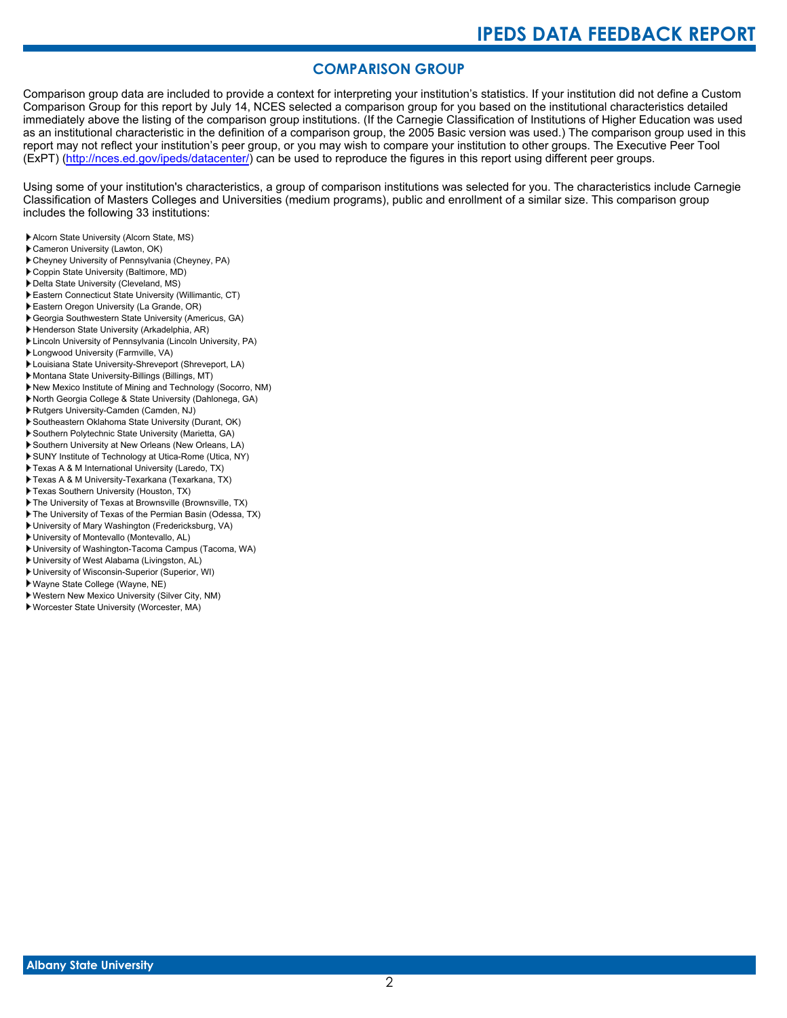# **COMPARISON GROUP**

Comparison group data are included to provide a context for interpreting your institution's statistics. If your institution did not define a Custom Comparison Group for this report by July 14, NCES selected a comparison group for you based on the institutional characteristics detailed immediately above the listing of the comparison group institutions. (If the Carnegie Classification of Institutions of Higher Education was used as an institutional characteristic in the definition of a comparison group, the 2005 Basic version was used.) The comparison group used in this report may not reflect your institution's peer group, or you may wish to compare your institution to other groups. The Executive Peer Tool (ExPT) [\(http://nces.ed.gov/ipeds/datacenter/\)](http://nces.ed.gov/ipeds/datacenter/) can be used to reproduce the figures in this report using different peer groups.

Using some of your institution's characteristics, a group of comparison institutions was selected for you. The characteristics include Carnegie Classification of Masters Colleges and Universities (medium programs), public and enrollment of a similar size. This comparison group includes the following 33 institutions:

- Alcorn State University (Alcorn State, MS)
- Cameron University (Lawton, OK)
- Cheyney University of Pennsylvania (Cheyney, PA)
- Coppin State University (Baltimore, MD)
- Delta State University (Cleveland, MS)
- Eastern Connecticut State University (Willimantic, CT)
- Eastern Oregon University (La Grande, OR)
- Georgia Southwestern State University (Americus, GA)
- Henderson State University (Arkadelphia, AR)
- Lincoln University of Pennsylvania (Lincoln University, PA)
- Longwood University (Farmville, VA)
- Louisiana State University-Shreveport (Shreveport, LA)
- Montana State University-Billings (Billings, MT)
- New Mexico Institute of Mining and Technology (Socorro, NM)
- North Georgia College & State University (Dahlonega, GA)
- Rutgers University-Camden (Camden, NJ)
- Southeastern Oklahoma State University (Durant, OK)
- Southern Polytechnic State University (Marietta, GA)
- Southern University at New Orleans (New Orleans, LA)
- SUNY Institute of Technology at Utica-Rome (Utica, NY)
- Texas A & M International University (Laredo, TX)
- Texas A & M University-Texarkana (Texarkana, TX)
- Texas Southern University (Houston, TX)
- The University of Texas at Brownsville (Brownsville, TX)
- The University of Texas of the Permian Basin (Odessa, TX)
- University of Mary Washington (Fredericksburg, VA)
- University of Montevallo (Montevallo, AL)
- University of Washington-Tacoma Campus (Tacoma, WA)
- University of West Alabama (Livingston, AL)
- University of Wisconsin-Superior (Superior, WI)
- Wayne State College (Wayne, NE)
- Western New Mexico University (Silver City, NM)
- Worcester State University (Worcester, MA)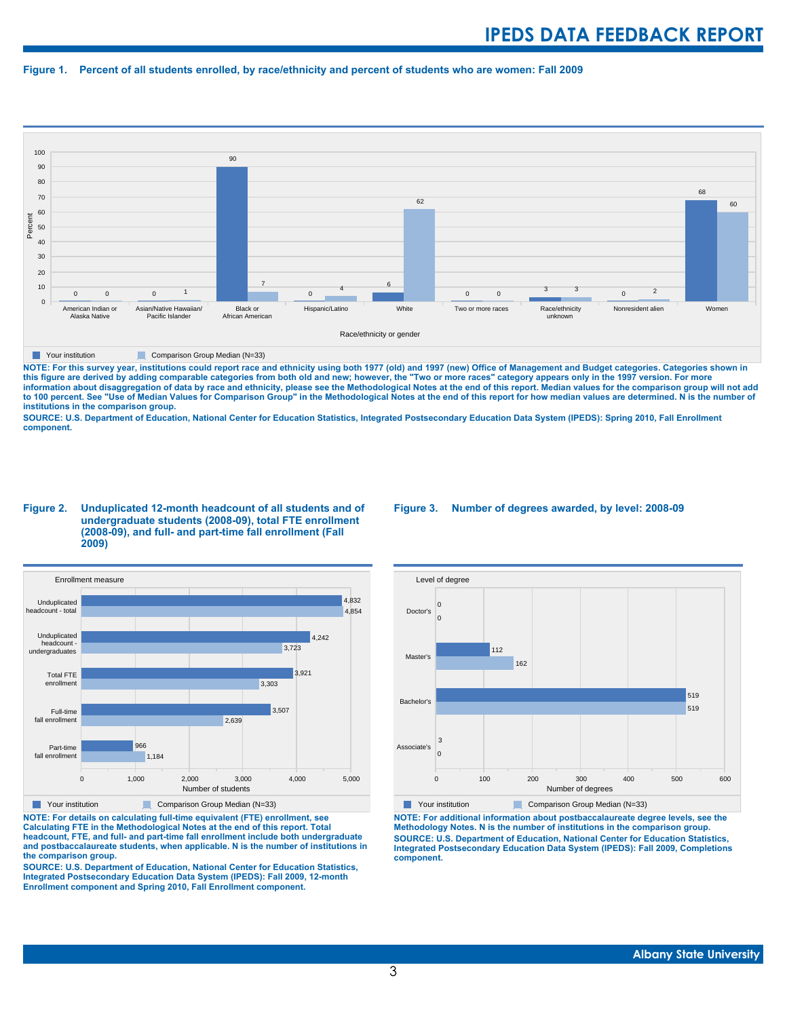#### **Figure 1. Percent of all students enrolled, by race/ethnicity and percent of students who are women: Fall 2009**



**The Comparison Group Median (N=33)** Comparison Group Median (N=33)

NOTE: For this survey year, institutions could report race and ethnicity using both 1977 (old) and 1997 (new) Office of Management and Budget categories. Categories shown in<br>this figure are derived by adding comparable cat **information about disaggregation of data by race and ethnicity, please see the Methodological Notes at the end of this report. Median values for the comparison group will not add to 100 percent. See "Use of Median Values for Comparison Group" in the Methodological Notes at the end of this report for how median values are determined. N is the number of institutions in the comparison group.**

**SOURCE: U.S. Department of Education, National Center for Education Statistics, Integrated Postsecondary Education Data System (IPEDS): Spring 2010, Fall Enrollment component.**

#### **Figure 2. Unduplicated 12-month headcount of all students and of undergraduate students (2008-09), total FTE enrollment (2008-09), and full- and part-time fall enrollment (Fall 2009)**



**Parison Comparison Group Median (N=33)** 

**NOTE: For details on calculating full-time equivalent (FTE) enrollment, see Calculating FTE in the Methodological Notes at the end of this report. Total headcount, FTE, and full- and part-time fall enrollment include both undergraduate and postbaccalaureate students, when applicable. N is the number of institutions in the comparison group.**

**SOURCE: U.S. Department of Education, National Center for Education Statistics, Integrated Postsecondary Education Data System (IPEDS): Fall 2009, 12-month Enrollment component and Spring 2010, Fall Enrollment component.**

#### **Figure 3. Number of degrees awarded, by level: 2008-09**



**NOTE: For additional information about postbaccalaureate degree levels, see the Methodology Notes. N is the number of institutions in the comparison group. SOURCE: U.S. Department of Education, National Center for Education Statistics, Integrated Postsecondary Education Data System (IPEDS): Fall 2009, Completions component.**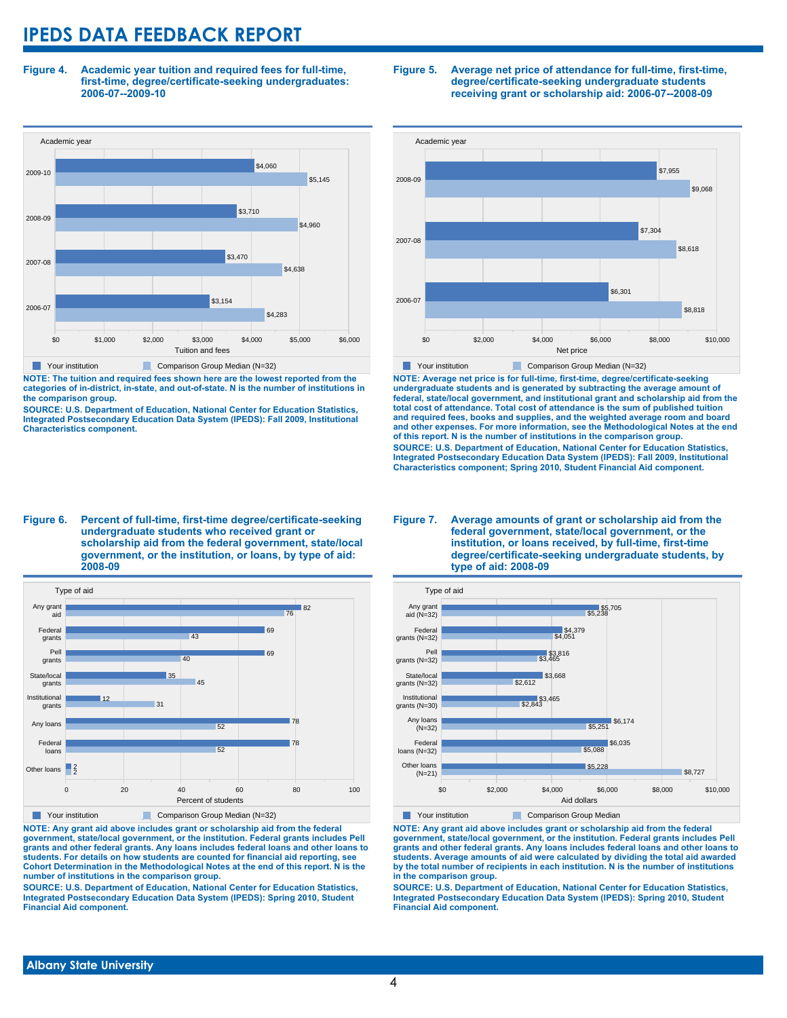**Figure 4. Academic year tuition and required fees for full-time, first-time, degree/certificate-seeking undergraduates: 2006-07--2009-10**



**NOTE: The tuition and required fees shown here are the lowest reported from the categories of in-district, in-state, and out-of-state. N is the number of institutions in the comparison group.**

**SOURCE: U.S. Department of Education, National Center for Education Statistics, Integrated Postsecondary Education Data System (IPEDS): Fall 2009, Institutional Characteristics component.**

#### **Figure 5. Average net price of attendance for full-time, first-time, degree/certificate-seeking undergraduate students receiving grant or scholarship aid: 2006-07--2008-09**



**NOTE: Average net price is for full-time, first-time, degree/certificate-seeking undergraduate students and is generated by subtracting the average amount of federal, state/local government, and institutional grant and scholarship aid from the total cost of attendance. Total cost of attendance is the sum of published tuition and required fees, books and supplies, and the weighted average room and board and other expenses. For more information, see the Methodological Notes at the end of this report. N is the number of institutions in the comparison group. SOURCE: U.S. Department of Education, National Center for Education Statistics, Integrated Postsecondary Education Data System (IPEDS): Fall 2009, Institutional Characteristics component; Spring 2010, Student Financial Aid component.**

#### **Figure 6. Percent of full-time, first-time degree/certificate-seeking undergraduate students who received grant or scholarship aid from the federal government, state/local government, or the institution, or loans, by type of aid: 2008-09**



**NOTE: Any grant aid above includes grant or scholarship aid from the federal government, state/local government, or the institution. Federal grants includes Pell grants and other federal grants. Any loans includes federal loans and other loans to students. For details on how students are counted for financial aid reporting, see Cohort Determination in the Methodological Notes at the end of this report. N is the number of institutions in the comparison group.**

**SOURCE: U.S. Department of Education, National Center for Education Statistics, Integrated Postsecondary Education Data System (IPEDS): Spring 2010, Student Financial Aid component.**

#### **Figure 7. Average amounts of grant or scholarship aid from the federal government, state/local government, or the institution, or loans received, by full-time, first-time degree/certificate-seeking undergraduate students, by type of aid: 2008-09**



**NOTE: Any grant aid above includes grant or scholarship aid from the federal government, state/local government, or the institution. Federal grants includes Pell grants and other federal grants. Any loans includes federal loans and other loans to students. Average amounts of aid were calculated by dividing the total aid awarded by the total number of recipients in each institution. N is the number of institutions in the comparison group.**

**SOURCE: U.S. Department of Education, National Center for Education Statistics, Integrated Postsecondary Education Data System (IPEDS): Spring 2010, Student Financial Aid component.**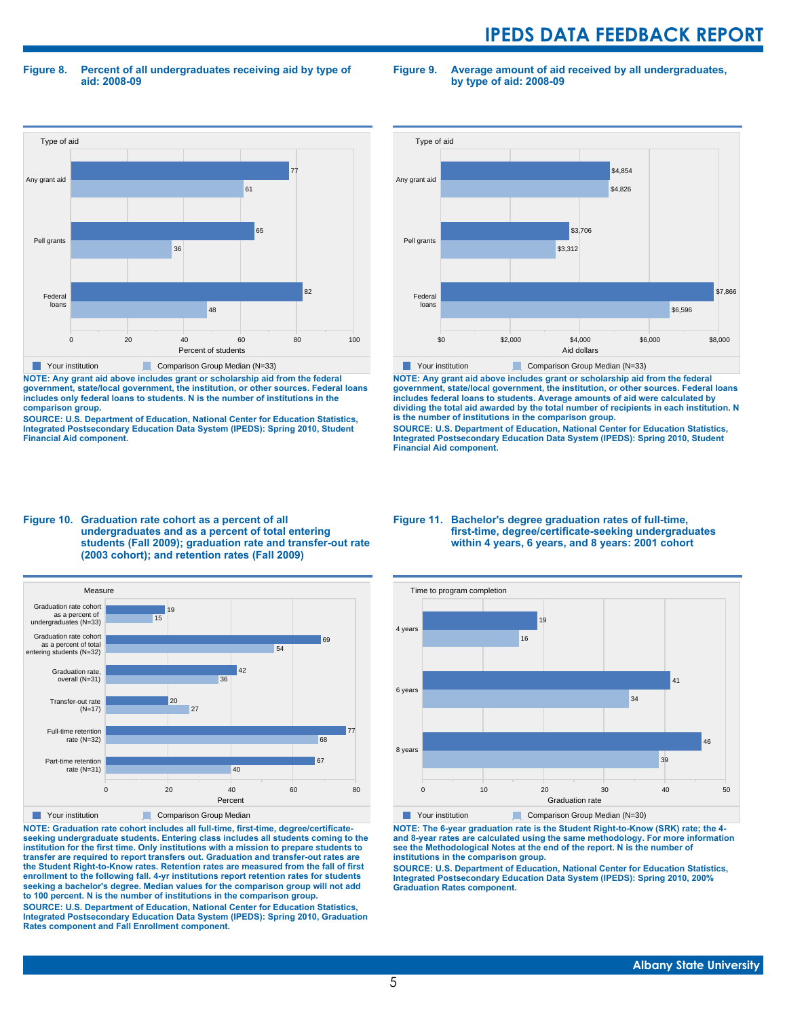**Figure 8. Percent of all undergraduates receiving aid by type of aid: 2008-09**

**Figure 9. Average amount of aid received by all undergraduates, by type of aid: 2008-09**



**NOTE: Any grant aid above includes grant or scholarship aid from the federal government, state/local government, the institution, or other sources. Federal loans includes only federal loans to students. N is the number of institutions in the comparison group.**

**SOURCE: U.S. Department of Education, National Center for Education Statistics, Integrated Postsecondary Education Data System (IPEDS): Spring 2010, Student Financial Aid component.**



**NOTE: Any grant aid above includes grant or scholarship aid from the federal government, state/local government, the institution, or other sources. Federal loans includes federal loans to students. Average amounts of aid were calculated by dividing the total aid awarded by the total number of recipients in each institution. N is the number of institutions in the comparison group.**

**SOURCE: U.S. Department of Education, National Center for Education Statistics, Integrated Postsecondary Education Data System (IPEDS): Spring 2010, Student Financial Aid component.**





**NOTE: Graduation rate cohort includes all full-time, first-time, degree/certificateseeking undergraduate students. Entering class includes all students coming to the institution for the first time. Only institutions with a mission to prepare students to transfer are required to report transfers out. Graduation and transfer-out rates are the Student Right-to-Know rates. Retention rates are measured from the fall of first enrollment to the following fall. 4-yr institutions report retention rates for students seeking a bachelor's degree. Median values for the comparison group will not add to 100 percent. N is the number of institutions in the comparison group.**

**SOURCE: U.S. Department of Education, National Center for Education Statistics, Integrated Postsecondary Education Data System (IPEDS): Spring 2010, Graduation Rates component and Fall Enrollment component.**

#### **Figure 11. Bachelor's degree graduation rates of full-time, first-time, degree/certificate-seeking undergraduates within 4 years, 6 years, and 8 years: 2001 cohort**



**NOTE: The 6-year graduation rate is the Student Right-to-Know (SRK) rate; the 4 and 8-year rates are calculated using the same methodology. For more information see the Methodological Notes at the end of the report. N is the number of institutions in the comparison group.**

**SOURCE: U.S. Department of Education, National Center for Education Statistics, Integrated Postsecondary Education Data System (IPEDS): Spring 2010, 200% Graduation Rates component.**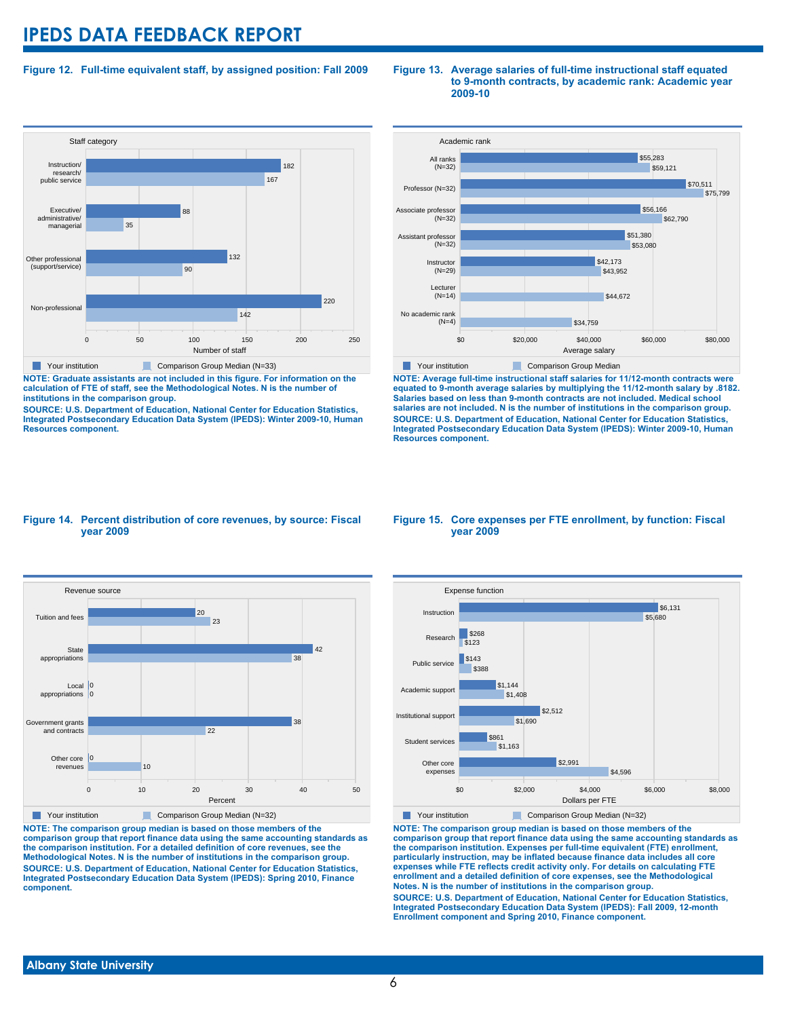### **Figure 12. Full-time equivalent staff, by assigned position: Fall 2009**



**NOTE: Graduate assistants are not included in this figure. For information on the calculation of FTE of staff, see the Methodological Notes. N is the number of institutions in the comparison group.**

**SOURCE: U.S. Department of Education, National Center for Education Statistics, Integrated Postsecondary Education Data System (IPEDS): Winter 2009-10, Human Resources component.**

#### **Figure 13. Average salaries of full-time instructional staff equated to 9-month contracts, by academic rank: Academic year 2009-10**



**NOTE: Average full-time instructional staff salaries for 11/12-month contracts were equated to 9-month average salaries by multiplying the 11/12-month salary by .8182. Salaries based on less than 9-month contracts are not included. Medical school salaries are not included. N is the number of institutions in the comparison group. SOURCE: U.S. Department of Education, National Center for Education Statistics, Integrated Postsecondary Education Data System (IPEDS): Winter 2009-10, Human Resources component.**

#### **Figure 14. Percent distribution of core revenues, by source: Fiscal year 2009**



**NOTE: The comparison group median is based on those members of the comparison group that report finance data using the same accounting standards as the comparison institution. For a detailed definition of core revenues, see the Methodological Notes. N is the number of institutions in the comparison group. SOURCE: U.S. Department of Education, National Center for Education Statistics, Integrated Postsecondary Education Data System (IPEDS): Spring 2010, Finance component.**

#### **Figure 15. Core expenses per FTE enrollment, by function: Fiscal year 2009**



**NOTE: The comparison group median is based on those members of the comparison group that report finance data using the same accounting standards as the comparison institution. Expenses per full-time equivalent (FTE) enrollment, particularly instruction, may be inflated because finance data includes all core expenses while FTE reflects credit activity only. For details on calculating FTE enrollment and a detailed definition of core expenses, see the Methodological Notes. N is the number of institutions in the comparison group. SOURCE: U.S. Department of Education, National Center for Education Statistics, Integrated Postsecondary Education Data System (IPEDS): Fall 2009, 12-month Enrollment component and Spring 2010, Finance component.**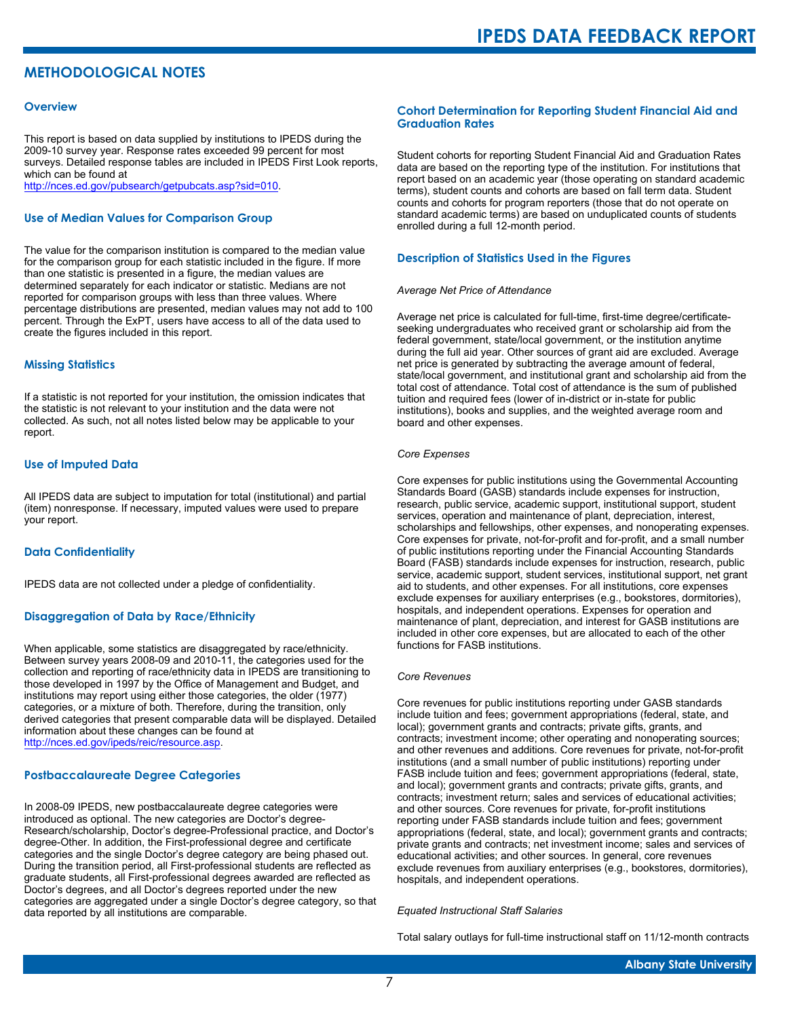# **METHODOLOGICAL NOTES**

#### **Overview**

This report is based on data supplied by institutions to IPEDS during the 2009-10 survey year. Response rates exceeded 99 percent for most surveys. Detailed response tables are included in IPEDS First Look reports, which can be found at [http://nces.ed.gov/pubsearch/getpubcats.asp?sid=010.](http://nces.ed.gov/pubsearch/getpubcats.asp?sid=010)

#### **Use of Median Values for Comparison Group**

The value for the comparison institution is compared to the median value for the comparison group for each statistic included in the figure. If more than one statistic is presented in a figure, the median values are determined separately for each indicator or statistic. Medians are not reported for comparison groups with less than three values. Where percentage distributions are presented, median values may not add to 100 percent. Through the ExPT, users have access to all of the data used to create the figures included in this report.

#### **Missing Statistics**

If a statistic is not reported for your institution, the omission indicates that the statistic is not relevant to your institution and the data were not collected. As such, not all notes listed below may be applicable to your report.

#### **Use of Imputed Data**

All IPEDS data are subject to imputation for total (institutional) and partial (item) nonresponse. If necessary, imputed values were used to prepare your report.

#### **Data Confidentiality**

IPEDS data are not collected under a pledge of confidentiality.

#### **Disaggregation of Data by Race/Ethnicity**

When applicable, some statistics are disaggregated by race/ethnicity. Between survey years 2008-09 and 2010-11, the categories used for the collection and reporting of race/ethnicity data in IPEDS are transitioning to those developed in 1997 by the Office of Management and Budget, and institutions may report using either those categories, the older (1977) categories, or a mixture of both. Therefore, during the transition, only derived categories that present comparable data will be displayed. Detailed information about these changes can be found at <http://nces.ed.gov/ipeds/reic/resource.asp>.

#### **Postbaccalaureate Degree Categories**

In 2008-09 IPEDS, new postbaccalaureate degree categories were introduced as optional. The new categories are Doctor's degree-Research/scholarship, Doctor's degree-Professional practice, and Doctor's degree-Other. In addition, the First-professional degree and certificate categories and the single Doctor's degree category are being phased out. During the transition period, all First-professional students are reflected as graduate students, all First-professional degrees awarded are reflected as Doctor's degrees, and all Doctor's degrees reported under the new categories are aggregated under a single Doctor's degree category, so that data reported by all institutions are comparable.

#### **Cohort Determination for Reporting Student Financial Aid and Graduation Rates**

Student cohorts for reporting Student Financial Aid and Graduation Rates data are based on the reporting type of the institution. For institutions that report based on an academic year (those operating on standard academic terms), student counts and cohorts are based on fall term data. Student counts and cohorts for program reporters (those that do not operate on standard academic terms) are based on unduplicated counts of students enrolled during a full 12-month period.

#### **Description of Statistics Used in the Figures**

#### *Average Net Price of Attendance*

Average net price is calculated for full-time, first-time degree/certificateseeking undergraduates who received grant or scholarship aid from the federal government, state/local government, or the institution anytime during the full aid year. Other sources of grant aid are excluded. Average net price is generated by subtracting the average amount of federal, state/local government, and institutional grant and scholarship aid from the total cost of attendance. Total cost of attendance is the sum of published tuition and required fees (lower of in-district or in-state for public institutions), books and supplies, and the weighted average room and board and other expenses.

#### *Core Expenses*

Core expenses for public institutions using the Governmental Accounting Standards Board (GASB) standards include expenses for instruction, research, public service, academic support, institutional support, student services, operation and maintenance of plant, depreciation, interest, scholarships and fellowships, other expenses, and nonoperating expenses. Core expenses for private, not-for-profit and for-profit, and a small number of public institutions reporting under the Financial Accounting Standards Board (FASB) standards include expenses for instruction, research, public service, academic support, student services, institutional support, net grant aid to students, and other expenses. For all institutions, core expenses exclude expenses for auxiliary enterprises (e.g., bookstores, dormitories), hospitals, and independent operations. Expenses for operation and maintenance of plant, depreciation, and interest for GASB institutions are included in other core expenses, but are allocated to each of the other functions for FASB institutions.

#### *Core Revenues*

Core revenues for public institutions reporting under GASB standards include tuition and fees; government appropriations (federal, state, and local); government grants and contracts; private gifts, grants, and contracts; investment income; other operating and nonoperating sources; and other revenues and additions. Core revenues for private, not-for-profit institutions (and a small number of public institutions) reporting under FASB include tuition and fees; government appropriations (federal, state, and local); government grants and contracts; private gifts, grants, and contracts; investment return; sales and services of educational activities; and other sources. Core revenues for private, for-profit institutions reporting under FASB standards include tuition and fees; government appropriations (federal, state, and local); government grants and contracts; private grants and contracts; net investment income; sales and services of educational activities; and other sources. In general, core revenues exclude revenues from auxiliary enterprises (e.g., bookstores, dormitories), hospitals, and independent operations.

#### *Equated Instructional Staff Salaries*

Total salary outlays for full-time instructional staff on 11/12-month contracts